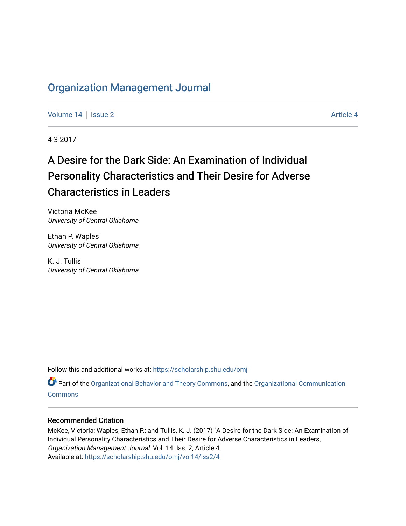# [Organization Management Journal](https://scholarship.shu.edu/omj)

[Volume 14](https://scholarship.shu.edu/omj/vol14) Suitsue 2 [Article 4](https://scholarship.shu.edu/omj/vol14/iss2/4) Article 4

4-3-2017

# A Desire for the Dark Side: An Examination of Individual Personality Characteristics and Their Desire for Adverse Characteristics in Leaders

Victoria McKee University of Central Oklahoma

Ethan P. Waples University of Central Oklahoma

K. J. Tullis University of Central Oklahoma

Follow this and additional works at: [https://scholarship.shu.edu/omj](https://scholarship.shu.edu/omj?utm_source=scholarship.shu.edu%2Fomj%2Fvol14%2Fiss2%2F4&utm_medium=PDF&utm_campaign=PDFCoverPages) 

Part of the [Organizational Behavior and Theory Commons,](http://network.bepress.com/hgg/discipline/639?utm_source=scholarship.shu.edu%2Fomj%2Fvol14%2Fiss2%2F4&utm_medium=PDF&utm_campaign=PDFCoverPages) and the [Organizational Communication](http://network.bepress.com/hgg/discipline/335?utm_source=scholarship.shu.edu%2Fomj%2Fvol14%2Fiss2%2F4&utm_medium=PDF&utm_campaign=PDFCoverPages) [Commons](http://network.bepress.com/hgg/discipline/335?utm_source=scholarship.shu.edu%2Fomj%2Fvol14%2Fiss2%2F4&utm_medium=PDF&utm_campaign=PDFCoverPages)

# Recommended Citation

McKee, Victoria; Waples, Ethan P.; and Tullis, K. J. (2017) "A Desire for the Dark Side: An Examination of Individual Personality Characteristics and Their Desire for Adverse Characteristics in Leaders," Organization Management Journal: Vol. 14: Iss. 2, Article 4. Available at: [https://scholarship.shu.edu/omj/vol14/iss2/4](https://scholarship.shu.edu/omj/vol14/iss2/4?utm_source=scholarship.shu.edu%2Fomj%2Fvol14%2Fiss2%2F4&utm_medium=PDF&utm_campaign=PDFCoverPages)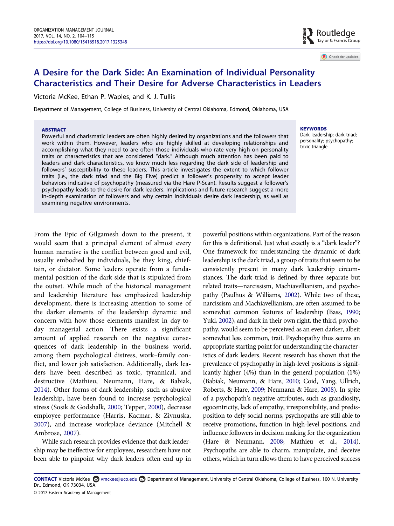Check for updates

# A Desire for the Dark Side: An Examination of Individual Personality Characteristics and Their Desire for Adverse Characteristics in Leaders

Victoria McKee, Ethan P. Waples, and K. J. Tullis

Department of Management, College of Business, University of Central Oklahoma, Edmond, Oklahoma, USA

#### ABSTRACT

Powerful and charismatic leaders are often highly desired by organizations and the followers that work within them. However, leaders who are highly skilled at developing relationships and accomplishing what they need to are often those individuals who rate very high on personality traits or characteristics that are considered "dark." Although much attention has been paid to leaders and dark characteristics, we know much less regarding the dark side of leadership and followers' susceptibility to these leaders. This article investigates the extent to which follower traits (i.e., the dark triad and the Big Five) predict a follower's propensity to accept leader behaviors indicative of psychopathy (measured via the Hare P-Scan). Results suggest a follower's psychopathy leads to the desire for dark leaders. Implications and future research suggest a more in-depth examination of followers and why certain individuals desire dark leadership, as well as examining negative environments.

From the Epic of Gilgamesh down to the present, it would seem that a principal element of almost every human narrative is the conflict between good and evil, usually embodied by individuals, be they king, chieftain, or dictator. Some leaders operate from a fundamental position of the dark side that is stipulated from the outset. While much of the historical management and leadership literature has emphasized leadership development, there is increasing attention to some of the darker elements of the leadership dynamic and concern with how those elements manifest in day-today managerial action. There exists a significant amount of applied research on the negative consequences of dark leadership in the business world, among them psychological distress, work–family conflict, and lower job satisfaction. Additionally, dark leaders have been described as toxic, tyrannical, and destructive (Mathieu, Neumann, Hare, & Babiak, [2014](#page-12-0)). Other forms of dark leadership, such as abusive leadership, have been found to increase psychological stress (Sosik & Godshalk, [2000](#page-12-1); Tepper, [2000](#page-12-2)), decrease employee performance (Harris, Kacmar, & Zivnuska, [2007](#page-11-0)), and increase workplace deviance (Mitchell & Ambrose, [2007\)](#page-12-3).

While such research provides evidence that dark leadership may be ineffective for employees, researchers have not been able to pinpoint why dark leaders often end up in

powerful positions within organizations. Part of the reason for this is definitional. Just what exactly is a "dark leader"? One framework for understanding the dynamic of dark leadership is the dark triad, a group of traits that seem to be consistently present in many dark leadership circumstances. The dark triad is defined by three separate but related traits—narcissism, Machiavellianism, and psychopathy (Paulhus & Williams, [2002](#page-12-4)). While two of these, narcissism and Machiavellianism, are often assumed to be somewhat common features of leadership (Bass, [1990;](#page-12-5) Yukl, [2002](#page-12-6)), and dark in their own right, the third, psychopathy, would seem to be perceived as an even darker, albeit somewhat less common, trait. Psychopathy thus seems an appropriate starting point for understanding the characteristics of dark leaders. Recent research has shown that the prevalence of psychopathy in high-level positions is significantly higher (4%) than in the general population (1%) (Babiak, Neumann, & Hare, [2010](#page-11-1); Coid, Yang, Ullrich, Roberts, & Hare, [2009;](#page-11-2) Neumann & Hare, [2008](#page-12-7)). In spite of a psychopath's negative attributes, such as grandiosity, egocentricity, lack of empathy, irresponsibility, and predisposition to defy social norms, psychopaths are still able to receive promotions, function in high-level positions, and influence followers in decision making for the organization (Hare & Neumann, [2008;](#page-11-3) Mathieu et al., [2014](#page-12-0)). Psychopaths are able to charm, manipulate, and deceive others, which in turn allows them to have perceived success

CONTACT Victoria McKee **varide and CO** vmckee@uco.edu **c** Department of Management, University of Central Oklahoma, College of Business, 100 N. University Dr., Edmond, OK 73034, USA.

#### **KEYWORDS**

Dark leadership; dark triad; personality; psychopathy; toxic triangle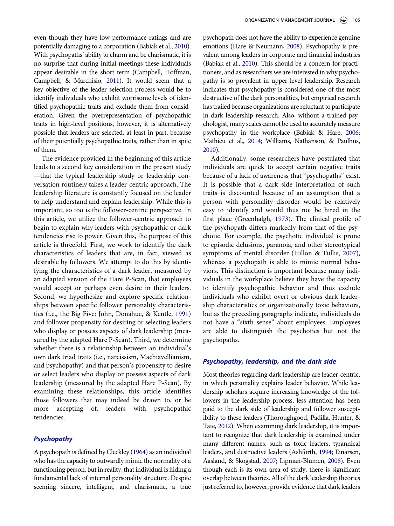even though they have low performance ratings and are potentially damaging to a corporation (Babiak et al., [2010](#page-11-1)). With psychopaths' ability to charm and be charismatic, it is no surprise that during initial meetings these individuals appear desirable in the short term (Campbell, Hoffman, Campbell, & Marchisio, [2011\)](#page-11-4). It would seem that a key objective of the leader selection process would be to identify individuals who exhibit worrisome levels of identified psychopathic traits and exclude them from consideration. Given the overrepresentation of psychopathic traits in high-level positions, however, it is alternatively possible that leaders are selected, at least in part, because of their potentially psychopathic traits, rather than in spite of them.

The evidence provided in the beginning of this article leads to a second key consideration in the present study —that the typical leadership study or leadership conversation routinely takes a leader-centric approach. The leadership literature is constantly focused on the leader to help understand and explain leadership. While this is important, so too is the follower-centric perspective. In this article, we utilize the follower-centric approach to begin to explain why leaders with psychopathic or dark tendencies rise to power. Given this, the purpose of this article is threefold. First, we work to identify the dark characteristics of leaders that are, in fact, viewed as desirable by followers. We attempt to do this by identifying the characteristics of a dark leader, measured by an adapted version of the Hare P-Scan, that employees would accept or perhaps even desire in their leaders. Second, we hypothesize and explore specific relationships between specific follower personality characteristics (i.e., the Big Five: John, Donahue, & Kentle, [1991](#page-11-5)) and follower propensity for desiring or selecting leaders who display or possess aspects of dark leadership (measured by the adapted Hare P-Scan). Third, we determine whether there is a relationship between an individual's own dark triad traits (i.e., narcissism, Machiavellianism, and psychopathy) and that person's propensity to desire or select leaders who display or possess aspects of dark leadership (measured by the adapted Hare P-Scan). By examining these relationships, this article identifies those followers that may indeed be drawn to, or be more accepting of, leaders with psychopathic tendencies.

# Psychopathy

A psychopath is defined by Cleckley [\(1964](#page-11-6)) as an individual who has the capacity to outwardly mimic the normality of a functioning person, but in reality, that individual is hiding a fundamental lack of internal personality structure. Despite seeming sincere, intelligent, and charismatic, a true psychopath does not have the ability to experience genuine emotions (Hare & Neumann, [2008\)](#page-11-3). Psychopathy is prevalent among leaders in corporate and financial industries (Babiak et al., [2010](#page-11-1)). This should be a concern for practitioners, and as researchers we are interested in why psychopathy is so prevalent in upper level leadership. Research indicates that psychopathy is considered one of the most destructive of the dark personalities, but empirical research has trailed because organizations are reluctant to participate in dark leadership research. Also, without a trained psychologist, many scales cannot be used to accurately measure psychopathy in the workplace (Babiak & Hare, [2006;](#page-11-7) Mathieu et al., [2014](#page-12-0); Williams, Nathanson, & Paulhus, [2010](#page-12-8)).

Additionally, some researchers have postulated that individuals are quick to accept certain negative traits because of a lack of awareness that "psychopaths" exist. It is possible that a dark side interpretation of such traits is discounted because of an assumption that a person with personality disorder would be relatively easy to identify and would thus not be hired in the first place (Greenhalgh, [1973\)](#page-11-8). The clinical profile of the psychopath differs markedly from that of the psychotic. For example, the psychotic individual is prone to episodic delusions, paranoia, and other stereotypical symptoms of mental disorder (Hillon & Tullis, [2007\)](#page-11-9), whereas a psychopath is able to mimic normal behaviors. This distinction is important because many individuals in the workplace believe they have the capacity to identify psychopathic behavior and thus exclude individuals who exhibit overt or obvious dark leadership characteristics or organizationally toxic behaviors, but as the preceding paragraphs indicate, individuals do not have a "sixth sense" about employees. Employees are able to distinguish the psychotics but not the psychopaths.

#### Psychopathy, leadership, and the dark side

Most theories regarding dark leadership are leader-centric, in which personality explains leader behavior. While leadership scholars acquire increasing knowledge of the followers in the leadership process, less attention has been paid to the dark side of leadership and follower susceptibility to these leaders (Thoroughgood, Padilla, Hunter, & Tate, [2012](#page-12-9)). When examining dark leadership, it is important to recognize that dark leadership is examined under many different names, such as toxic leaders, tyrannical leaders, and destructive leaders (Ashforth, [1994;](#page-11-10) Einarsen, Aasland, & Skogstad, [2007;](#page-11-11) Lipman-Blumen, [2008\)](#page-11-12). Even though each is its own area of study, there is significant overlap between theories. All of the dark leadership theories just referred to, however, provide evidence that dark leaders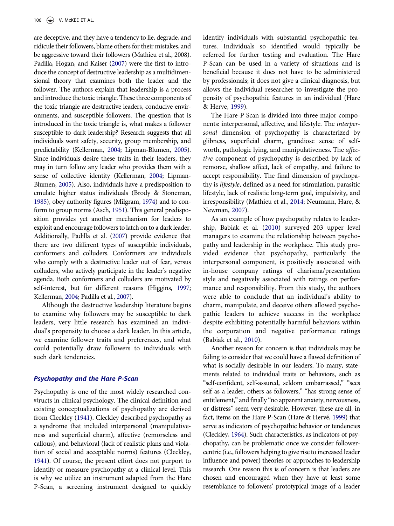are deceptive, and they have a tendency to lie, degrade, and ridicule their followers, blame others for their mistakes, and be aggressive toward their followers (Mathieu et al., 2008). Padilla, Hogan, and Kaiser [\(2007\)](#page-12-10) were the first to introduce the concept of destructive leadership as a multidimensional theory that examines both the leader and the follower. The authors explain that leadership is a process and introduce the toxic triangle. These three components of the toxic triangle are destructive leaders, conducive environments, and susceptible followers. The question that is introduced in the toxic triangle is, what makes a follower susceptible to dark leadership? Research suggests that all individuals want safety, security, group membership, and predictability (Kellerman, [2004](#page-11-13); Lipman-Blumen, [2005](#page-11-14)). Since individuals desire these traits in their leaders, they may in turn follow any leader who provides them with a sense of collective identity (Kellerman, [2004;](#page-11-13) Lipman-Blumen, [2005\)](#page-11-14). Also, individuals have a predisposition to emulate higher status individuals (Brody & Stoneman, [1985](#page-11-15)), obey authority figures (Milgram, [1974\)](#page-12-11) and to conform to group norms (Asch, [1951](#page-10-0)). This general predisposition provides yet another mechanism for leaders to exploit and encourage followers to latch on to a dark leader. Additionally, Padilla et al. [\(2007\)](#page-12-10) provide evidence that there are two different types of susceptible individuals, conformers and colluders. Conformers are individuals who comply with a destructive leader out of fear, versus colluders, who actively participate in the leader's negative agenda. Both conformers and colluders are motivated by self-interest, but for different reasons (Higgins, [1997;](#page-11-16) Kellerman, [2004](#page-11-13); Padilla et al., [2007](#page-12-10)).

Although the destructive leadership literature begins to examine why followers may be susceptible to dark leaders, very little research has examined an individual's propensity to choose a dark leader. In this article, we examine follower traits and preferences, and what could potentially draw followers to individuals with such dark tendencies.

#### Psychopathy and the Hare P-Scan

Psychopathy is one of the most widely researched constructs in clinical psychology. The clinical definition and existing conceptualizations of psychopathy are derived from Cleckley ([1941\)](#page-11-17). Cleckley described psychopathy as a syndrome that included interpersonal (manipulativeness and superficial charm), affective (remorseless and callous), and behavioral (lack of realistic plans and violation of social and acceptable norms) features (Cleckley, [1941\)](#page-11-17). Of course, the present effort does not purport to identify or measure psychopathy at a clinical level. This is why we utilize an instrument adapted from the Hare P-Scan, a screening instrument designed to quickly identify individuals with substantial psychopathic features. Individuals so identified would typically be referred for further testing and evaluation. The Hare P-Scan can be used in a variety of situations and is beneficial because it does not have to be administered by professionals; it does not give a clinical diagnosis, but allows the individual researcher to investigate the propensity of psychopathic features in an individual (Hare & Herve, [1999\)](#page-11-18).

The Hare-P Scan is divided into three major components: interpersonal, affective, and lifestyle. The interpersonal dimension of psychopathy is characterized by glibness, superficial charm, grandiose sense of selfworth, pathologic lying, and manipulativeness. The affective component of psychopathy is described by lack of remorse, shallow affect, lack of empathy, and failure to accept responsibility. The final dimension of psychopathy is lifestyle, defined as a need for stimulation, parasitic lifestyle, lack of realistic long-term goal, impulsivity, and irresponsibility (Mathieu et al., [2014](#page-12-0); Neumann, Hare, & Newman, [2007](#page-12-12)).

As an example of how psychopathy relates to leadership, Babiak et al. [\(2010](#page-11-1)) surveyed 203 upper level managers to examine the relationship between psychopathy and leadership in the workplace. This study provided evidence that psychopathy, particularly the interpersonal component, is positively associated with in-house company ratings of charisma/presentation style and negatively associated with ratings on performance and responsibility. From this study, the authors were able to conclude that an individual's ability to charm, manipulate, and deceive others allowed psychopathic leaders to achieve success in the workplace despite exhibiting potentially harmful behaviors within the corporation and negative performance ratings (Babiak et al., [2010\)](#page-11-1).

Another reason for concern is that individuals may be failing to consider that we could have a flawed definition of what is socially desirable in our leaders. To many, statements related to individual traits or behaviors, such as "self-confident, self-assured, seldom embarrassed," "sees self as a leader, others as followers," "has strong sense of entitlement," and finally "no apparent anxiety, nervousness, or distress" seem very desirable. However, these are all, in fact, items on the Hare P-Scan (Hare & Hervé, [1999\)](#page-11-18) that serve as indicators of psychopathic behavior or tendencies (Cleckley, [1964\)](#page-11-6). Such characteristics, as indicators of psychopathy, can be problematic once we consider followercentric (i.e., followers helping to give rise to increased leader influence and power) theories or approaches to leadership research. One reason this is of concern is that leaders are chosen and encouraged when they have at least some resemblance to followers' prototypical image of a leader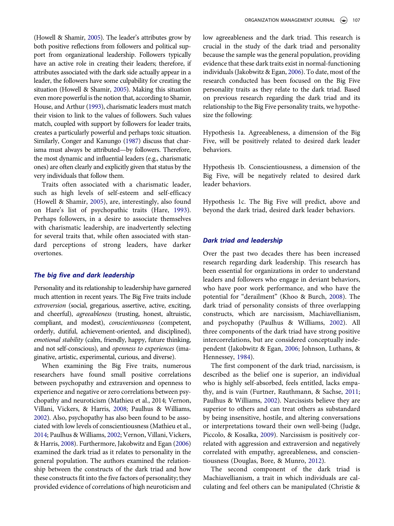(Howell & Shamir, [2005](#page-11-19)). The leader's attributes grow by both positive reflections from followers and political support from organizational leadership. Followers typically have an active role in creating their leaders; therefore, if attributes associated with the dark side actually appear in a leader, the followers have some culpability for creating the situation (Howell & Shamir, [2005\)](#page-11-19). Making this situation even more powerful is the notion that, according to Shamir, House, and Arthur [\(1993\)](#page-12-13), charismatic leaders must match their vision to link to the values of followers. Such values match, coupled with support by followers for leader traits, creates a particularly powerful and perhaps toxic situation. Similarly, Conger and Kanungo [\(1987\)](#page-11-20) discuss that charisma must always be attributed—by followers. Therefore, the most dynamic and influential leaders (e.g., charismatic ones) are often clearly and explicitly given that status by the very individuals that follow them.

Traits often associated with a charismatic leader, such as high levels of self-esteem and self-efficacy (Howell & Shamir, [2005\)](#page-11-19), are, interestingly, also found on Hare's list of psychopathic traits (Hare, [1993\)](#page-11-21). Perhaps followers, in a desire to associate themselves with charismatic leadership, are inadvertently selecting for several traits that, while often associated with standard perceptions of strong leaders, have darker overtones.

#### The big five and dark leadership

Personality and its relationship to leadership have garnered much attention in recent years. The Big Five traits include extroversion (social, gregarious, assertive, active, exciting, and cheerful), agreeableness (trusting, honest, altruistic, compliant, and modest), conscientiousness (competent, orderly, dutiful, achievement-oriented, and disciplined), emotional stability (calm, friendly, happy, future thinking, and not self-conscious), and openness to experiences (imaginative, artistic, experimental, curious, and diverse).

When examining the Big Five traits, numerous researchers have found small positive correlations between psychopathy and extraversion and openness to experience and negative or zero correlations between psychopathy and neuroticism (Mathieu et al., 2014; Vernon, Villani, Vickers, & Harris, [2008;](#page-12-14) Paulhus & Williams, [2002\)](#page-12-4). Also, psychopathy has also been found to be associated with low levels of conscientiousness (Mathieu et al., [2014;](#page-12-0) Paulhus & Williams, [2002](#page-12-4); Vernon, Villani, Vickers, & Harris, [2008](#page-12-14)). Furthermore, Jakobwitz and Egan ([2006](#page-11-22)) examined the dark triad as it relates to personality in the general population. The authors examined the relationship between the constructs of the dark triad and how these constructs fit into the five factors of personality; they provided evidence of correlations of high neuroticism and low agreeableness and the dark triad. This research is crucial in the study of the dark triad and personality because the sample was the general population, providing evidence that these dark traits exist in normal-functioning individuals (Jakobwitz & Egan, [2006](#page-11-22)). To date, most of the research conducted has been focused on the Big Five personality traits as they relate to the dark triad. Based on previous research regarding the dark triad and its relationship to the Big Five personality traits, we hypothesize the following:

Hypothesis 1a. Agreeableness, a dimension of the Big Five, will be positively related to desired dark leader behaviors.

Hypothesis 1b. Conscientiousness, a dimension of the Big Five, will be negatively related to desired dark leader behaviors.

Hypothesis 1c. The Big Five will predict, above and beyond the dark triad, desired dark leader behaviors.

#### Dark triad and leadership

Over the past two decades there has been increased research regarding dark leadership. This research has been essential for organizations in order to understand leaders and followers who engage in deviant behaviors, who have poor work performance, and who have the potential for "derailment" (Khoo & Burch, [2008\)](#page-11-23). The dark triad of personality consists of three overlapping constructs, which are narcissism, Machiavellianism, and psychopathy (Paulhus & Williams, [2002](#page-12-4)). All three components of the dark triad have strong positive intercorrelations, but are considered conceptually independent (Jakobwitz & Egan, [2006;](#page-11-22) Johnson, Luthans, & Hennessey, [1984](#page-11-24)).

The first component of the dark triad, narcissism, is described as the belief one is superior, an individual who is highly self-absorbed, feels entitled, lacks empathy, and is vain (Furtner, Rauthmann, & Sachse, [2011;](#page-11-25) Paulhus & Williams, [2002](#page-12-4)). Narcissists believe they are superior to others and can treat others as substandard by being insensitive, hostile, and altering conversations or interpretations toward their own well-being (Judge, Piccolo, & Kosalka, [2009\)](#page-11-26). Narcissism is positively correlated with aggression and extraversion and negatively correlated with empathy, agreeableness, and conscientiousness (Douglas, Bore, & Munro, [2012](#page-11-27)).

The second component of the dark triad is Machiavellianism, a trait in which individuals are calculating and feel others can be manipulated (Christie &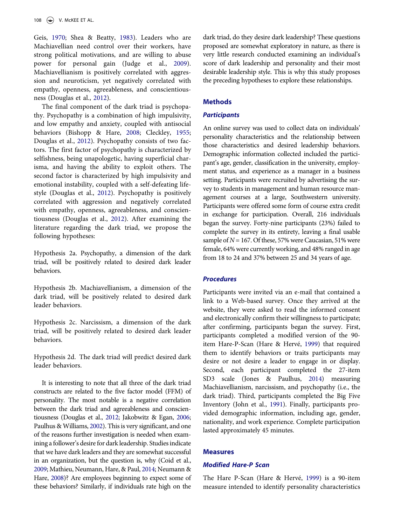Geis, [1970](#page-11-28); Shea & Beatty, [1983\)](#page-12-15). Leaders who are Machiavellian need control over their workers, have strong political motivations, and are willing to abuse power for personal gain (Judge et al., [2009\)](#page-11-26). Machiavellianism is positively correlated with aggression and neuroticism, yet negatively correlated with empathy, openness, agreeableness, and conscientiousness (Douglas et al., [2012\)](#page-11-27).

The final component of the dark triad is psychopathy. Psychopathy is a combination of high impulsivity, and low empathy and anxiety, coupled with antisocial behaviors (Bishopp & Hare, [2008](#page-11-29); Cleckley, [1955;](#page-11-30) Douglas et al., [2012\)](#page-11-27). Psychopathy consists of two factors. The first factor of psychopathy is characterized by selfishness, being unapologetic, having superficial charisma, and having the ability to exploit others. The second factor is characterized by high impulsivity and emotional instability, coupled with a self-defeating lifestyle (Douglas et al., [2012](#page-11-27)). Psychopathy is positively correlated with aggression and negatively correlated with empathy, openness, agreeableness, and conscientiousness (Douglas et al., [2012](#page-11-27)). After examining the literature regarding the dark triad, we propose the following hypotheses:

Hypothesis 2a. Psychopathy, a dimension of the dark triad, will be positively related to desired dark leader behaviors.

Hypothesis 2b. Machiavellianism, a dimension of the dark triad, will be positively related to desired dark leader behaviors.

Hypothesis 2c. Narcissism, a dimension of the dark triad, will be positively related to desired dark leader behaviors.

Hypothesis 2d. The dark triad will predict desired dark leader behaviors.

It is interesting to note that all three of the dark triad constructs are related to the five factor model (FFM) of personality. The most notable is a negative correlation between the dark triad and agreeableness and conscientiousness (Douglas et al., [2012](#page-11-27); Jakobwitz & Egan, [2006;](#page-11-22) Paulhus & Williams, [2002\)](#page-12-4). This is very significant, and one of the reasons further investigation is needed when examining a follower's desire for dark leadership. Studies indicate that we have dark leaders and they are somewhat successful in an organization, but the question is, why (Coid et al., [2009](#page-11-2); Mathieu, Neumann, Hare, & Paul, [2014](#page-12-0); Neumann & Hare, [2008](#page-12-7))? Are employees beginning to expect some of these behaviors? Similarly, if individuals rate high on the

dark triad, do they desire dark leadership? These questions proposed are somewhat exploratory in nature, as there is very little research conducted examining an individual's score of dark leadership and personality and their most desirable leadership style. This is why this study proposes the preceding hypotheses to explore these relationships.

# **Methods**

#### **Participants**

An online survey was used to collect data on individuals' personality characteristics and the relationship between those characteristics and desired leadership behaviors. Demographic information collected included the participant's age, gender, classification in the university, employment status, and experience as a manager in a business setting. Participants were recruited by advertising the survey to students in management and human resource management courses at a large, Southwestern university. Participants were offered some form of course extra credit in exchange for participation. Overall, 216 individuals began the survey. Forty-nine participants (23%) failed to complete the survey in its entirety, leaving a final usable sample of  $N = 167$ . Of these, 57% were Caucasian, 51% were female, 64% were currently working, and 48% ranged in age from 18 to 24 and 37% between 25 and 34 years of age.

## Procedures

Participants were invited via an e-mail that contained a link to a Web-based survey. Once they arrived at the website, they were asked to read the informed consent and electronically confirm their willingness to participate; after confirming, participants began the survey. First, participants completed a modified version of the 90 item Hare-P-Scan (Hare & Hervé, [1999\)](#page-11-18) that required them to identify behaviors or traits participants may desire or not desire a leader to engage in or display. Second, each participant completed the 27-item SD3 scale (Jones & Paulhus, [2014](#page-11-31)) measuring Machiavellianism, narcissism, and psychopathy (i.e., the dark triad). Third, participants completed the Big Five Inventory (John et al., [1991](#page-11-5)). Finally, participants provided demographic information, including age, gender, nationality, and work experience. Complete participation lasted approximately 45 minutes.

#### Measures

#### Modified Hare-P Scan

The Hare P-Scan (Hare & Hervé, [1999](#page-11-18)) is a 90-item measure intended to identify personality characteristics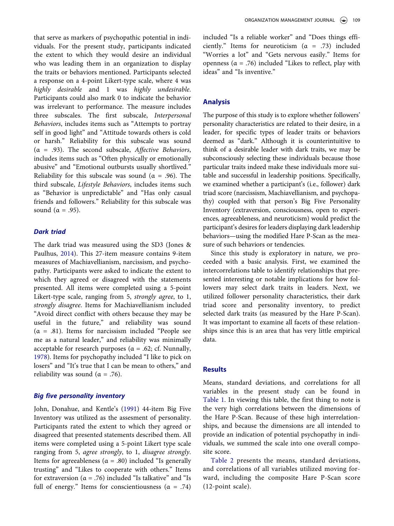that serve as markers of psychopathic potential in individuals. For the present study, participants indicated the extent to which they would desire an individual who was leading them in an organization to display the traits or behaviors mentioned. Participants selected a response on a 4-point Likert-type scale, where 4 was highly desirable and 1 was highly undesirable. Participants could also mark 0 to indicate the behavior was irrelevant to performance. The measure includes three subscales. The first subscale, Interpersonal Behaviors, includes items such as "Attempts to portray self in good light" and "Attitude towards others is cold or harsh." Reliability for this subscale was sound  $(\alpha = .93)$ . The second subscale, Affective Behaviors, includes items such as "Often physically or emotionally abusive" and "Emotional outbursts usually shortlived." Reliability for this subscale was sound ( $\alpha = .96$ ). The third subscale, Lifestyle Behaviors, includes items such as "Behavior is unpredictable" and "Has only casual friends and followers." Reliability for this subscale was sound ( $\alpha = .95$ ).

# Dark triad

The dark triad was measured using the SD3 (Jones & Paulhus, [2014](#page-11-31)). This 27-item measure contains 9-item measures of Machiavellianism, narcissism, and psychopathy. Participants were asked to indicate the extent to which they agreed or disagreed with the statements presented. All items were completed using a 5-point Likert-type scale, ranging from 5, strongly agree, to 1, strongly disagree. Items for Machiavellianism included "Avoid direct conflict with others because they may be useful in the future," and reliability was sound  $(\alpha = .81)$ . Items for narcissism included "People see me as a natural leader," and reliability was minimally acceptable for research purposes ( $\alpha$  = .62; cf. Nunnally, [1978](#page-12-16)). Items for psychopathy included "I like to pick on losers" and "It's true that I can be mean to others," and reliability was sound ( $\alpha = .76$ ).

#### Big five personality inventory

John, Donahue, and Kentle's [\(1991](#page-11-5)) 44-item Big Five Inventory was utilized as the assesment of personality. Participants rated the extent to which they agreed or disagreed that presented statements described them. All items were completed using a 5-point Likert type scale ranging from 5, agree strongly, to 1, disagree strongly. Items for agreeableness ( $\alpha = .80$ ) included "Is generally trusting" and "Likes to cooperate with others." Items for extraversion ( $\alpha$  = .76) included "Is talkative" and "Is full of energy." Items for conscientiousness  $(\alpha = .74)$  included "Is a reliable worker" and "Does things efficiently." Items for neuroticism  $(\alpha = .73)$  included "Worries a lot" and "Gets nervous easily." Items for openness (α = .76) included "Likes to reflect, play with ideas" and "Is inventive."

# Analysis

The purpose of this study is to explore whether followers' personality characteristics are related to their desire, in a leader, for specific types of leader traits or behaviors deemed as "dark." Although it is counterintuitive to think of a desirable leader with dark traits, we may be subconsciously selecting these individuals because those particular traits indeed make these individuals more suitable and successful in leadership positions. Specifically, we examined whether a participant's (i.e., follower) dark triad score (narcissism, Machiavellianism, and psychopathy) coupled with that person's Big Five Personality Inventory (extraversion, consciousness, open to experiences, agreeableness, and neuroticism) would predict the participant's desires for leaders displaying dark leadership behaviors—using the modified Hare P-Scan as the measure of such behaviors or tendencies.

Since this study is exploratory in nature, we proceeded with a basic analysis. First, we examined the intercorrelations table to identify relationships that presented interesting or notable implications for how followers may select dark traits in leaders. Next, we utilized follower personality characteristics, their dark triad score and personality inventory, to predict selected dark traits (as measured by the Hare P-Scan). It was important to examine all facets of these relationships since this is an area that has very little empirical data.

# **Results**

Means, standard deviations, and correlations for all variables in the present study can be found in [Table 1](#page-7-0). In viewing this table, the first thing to note is the very high correlations between the dimensions of the Hare P-Scan. Because of these high interrelationships, and because the dimensions are all intended to provide an indication of potential psychopathy in individuals, we summed the scale into one overall composite score.

[Table 2](#page-7-1) presents the means, standard deviations, and correlations of all variables utilized moving forward, including the composite Hare P-Scan score (12-point scale).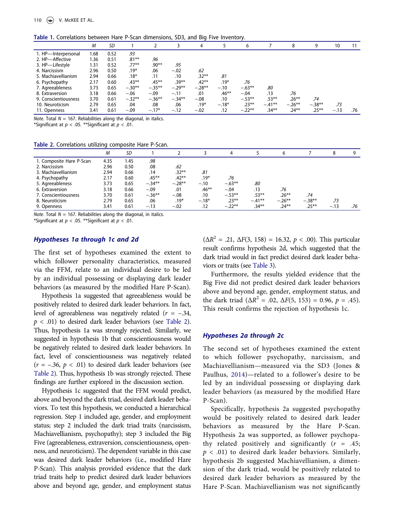<span id="page-7-0"></span>Table 1. Correlations between Hare P-Scan dimensions, SD3, and Big Five Inventory.

|                      | М    | SD   |           |           |           | 4        |          | 6        |           | 8         | 9         | 10     |     |
|----------------------|------|------|-----------|-----------|-----------|----------|----------|----------|-----------|-----------|-----------|--------|-----|
| 1. HP-Interpersonal  | 1.68 | 0.52 | .93       |           |           |          |          |          |           |           |           |        |     |
| 2. HP-Affective      | 1.36 | 0.51 | $.81***$  | .96       |           |          |          |          |           |           |           |        |     |
| 3. HP-Lifestyle      | 1.31 | 0.52 | $.77***$  | $.90**$   | .95       |          |          |          |           |           |           |        |     |
| 4. Narcissism        | 2.96 | 0.50 | .19*      | .06       | $-.02$    | .62      |          |          |           |           |           |        |     |
| 5. Machiavellianism  | 2.94 | 0.66 | .18*      | .11       | .10       | .32**    | .81      |          |           |           |           |        |     |
| 6. Psychopathy       | 2.17 | 0.60 | $.43***$  | $.45***$  | $.39***$  | $.42***$ | .19*     | .76      |           |           |           |        |     |
| 7. Agreeableness     | 3.73 | 0.65 | $-.30**$  | $-.35***$ | $-.29**$  | $-.28**$ | $-.10$   | $-.63**$ | .80       |           |           |        |     |
| 8. Extraversion      | 3.18 | 0.66 | $-.06$    | $-.09$    | $-.11$    | .01      | $.46***$ | $-.04$   | .13       | .76       |           |        |     |
| 9. Conscientiousness | 3.70 | 0.61 | $-.32***$ | $-.36***$ | $-.34***$ | $-.08$   | .10      | $-.53**$ | $.53**$   | $.26***$  | .74       |        |     |
| 10. Neuroticism      | 2.79 | 0.65 | .04       | .08       | .06       | $.19*$   | $-.18*$  | $.23**$  | $-.41***$ | $-.26***$ | $-.38***$ | .73    |     |
| 11. Openness         | 3.41 | 0.61 | $-.09$    | $-.17*$   | $-.12$    | $-.02$   | .12      | $-.22**$ | $.34***$  | $.24***$  | $.25***$  | $-.13$ | .76 |

Note. Total  $N = 167$ . Reliabilities along the diagonal, in italics.

\*Significant at  $p < .05$ . \*\*Significant at  $p < .01$ .

<span id="page-7-1"></span>Table 2. Correlations utilizing composite Hare P-Scan.

| SD<br>M<br>4<br>b<br>1. Composite Hare P-Scan<br>4.35<br>1.45<br>.98                                                |               | $\tilde{\phantom{a}}$ |  |  |  |  |     |
|---------------------------------------------------------------------------------------------------------------------|---------------|-----------------------|--|--|--|--|-----|
|                                                                                                                     |               |                       |  |  |  |  | q   |
|                                                                                                                     |               |                       |  |  |  |  |     |
| 0.50<br>.08<br>.62                                                                                                  | 2. Narcissism | 2.96                  |  |  |  |  |     |
| 3. Machiavellianism<br>$.32**$<br>2.94<br>0.66<br>.14<br>.81                                                        |               |                       |  |  |  |  |     |
| $.45***$<br>$.42***$<br>$.19*$<br>4. Psychopathy<br>2.17<br>0.60<br>.76                                             |               |                       |  |  |  |  |     |
| $-.28**$<br>$-.34***$<br>$-.63**$<br>0.65<br>3.73<br>5. Agreeableness<br>$-.10$<br>.80                              |               |                       |  |  |  |  |     |
| $.46***$<br>0.66<br>6. Extraversion<br>3.18<br>$-.09$<br>.13<br>.01<br>$-.04$<br>.76                                |               |                       |  |  |  |  |     |
| $-.36***$<br>.53**<br>$.26***$<br>$-.53**$<br>3.70<br>0.61<br>7. Conscientiousness<br>$-.08$<br>.10<br>.74          |               |                       |  |  |  |  |     |
| $.23***$<br>$-.41***$<br>$-.26***$<br>$-.38**$<br>$.19*$<br>2.79<br>0.65<br>$-.18*$<br>8. Neuroticism<br>.06<br>.73 |               |                       |  |  |  |  |     |
| $.34**$<br>$.24***$<br>$.25***$<br>$-.22***$<br>0.61<br>3.41<br>9. Openness<br>$-.13$<br>$-.02$<br>.12<br>$-.13$    |               |                       |  |  |  |  | .76 |

Note. Total  $N = 167$ . Reliabilities along the diagonal, in italics.

\*Significant at  $p < .05$ . \*\*Significant at  $p < .01$ .

#### Hypotheses 1a through 1c and 2d

The first set of hypotheses examined the extent to which follower personality characteristics, measured via the FFM, relate to an individual desire to be led by an individual possessing or displaying dark leader behaviors (as measured by the modified Hare P-Scan).

Hypothesis 1a suggested that agreeableness would be positively related to desired dark leader behaviors. In fact, level of agreeableness was negatively related  $(r = -.34, ...)$  $p < .01$ ) to desired dark leader behaviors (see [Table 2](#page-7-1)). Thus, hypothesis 1a was strongly rejected. Similarly, we suggested in hypothesis 1b that conscientiousness would be negatively related to desired dark leader behaviors. In fact, level of conscientiousness was negatively related  $(r = -.36, p < .01)$  to desired dark leader behaviors (see [Table 2](#page-7-1)). Thus, hypothesis 1b was strongly rejected. These findings are further explored in the discussion section.

Hypothesis 1c suggested that the FFM would predict, above and beyond the dark triad, desired dark leader behaviors. To test this hypothesis, we conducted a hierarchical regression. Step 1 included age, gender, and employment status; step 2 included the dark triad traits (narcissism, Machiavellianism, psychopathy); step 3 included the Big Five (agreeableness, extraversion, conscientiousness, openness, and neuroticism). The dependent variable in this case was desired dark leader behaviors (i.e., modified Hare P-Scan). This analysis provided evidence that the dark triad traits help to predict desired dark leader behaviors above and beyond age, gender, and employment status

 $(\Delta R^2 = .21, \Delta F(3, 158) = 16.32, p < .00)$ . This particular result confirms hypothesis 2d, which suggested that the dark triad would in fact predict desired dark leader behaviors or traits (see [Table 3\)](#page-8-0).

Furthermore, the results yielded evidence that the Big Five did not predict desired dark leader behaviors above and beyond age, gender, employment status, and the dark triad ( $\Delta R^2 = .02$ ,  $\Delta F(5, 153) = 0.96$ ,  $p = .45$ ). This result confirms the rejection of hypothesis 1c.

#### Hypotheses 2a through 2c

The second set of hypotheses examined the extent to which follower psychopathy, narcissism, and Machiavellianism—measured via the SD3 (Jones & Paulhus, [2014](#page-11-31))—related to a follower's desire to be led by an individual possessing or displaying dark leader behaviors (as measured by the modified Hare P-Scan).

Specifically, hypothesis 2a suggested psychopathy would be positively related to desired dark leader behaviors as measured by the Hare P-Scan. Hypothesis 2a was supported, as follower psychopathy related positively and significantly  $(r = .45;$  $p < .01$ ) to desired dark leader behaviors. Similarly, hypothesis 2b suggested Machiavellianism, a dimension of the dark triad, would be positively related to desired dark leader behaviors as measured by the Hare P-Scan. Machiavellianism was not significantly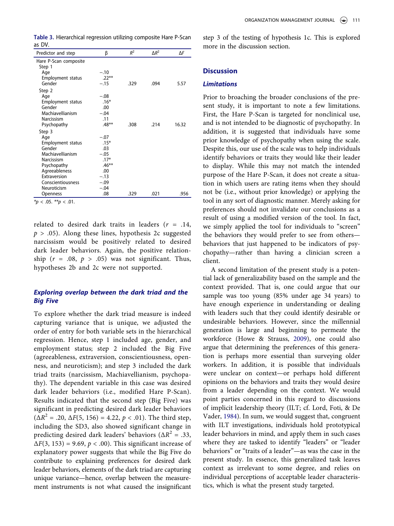<span id="page-8-0"></span>Table 3. Hierarchical regression utilizing composite Hare P-Scan as DV.

| Predictor and step       | β        | $R^2$ | $\Delta R^2$ | ΔF    |
|--------------------------|----------|-------|--------------|-------|
| Hare P-Scan composite    |          |       |              |       |
| Step 1                   |          |       |              |       |
| Age                      | $-.10$   |       |              |       |
| Employment status        | $.22***$ |       |              |       |
| Gender                   | $-.15$   | .329  | .094         | 5.57  |
| Step 2                   |          |       |              |       |
| Age                      | $-.08$   |       |              |       |
| Employment status        | $.16*$   |       |              |       |
| Gender                   | .00      |       |              |       |
| Machiavellianism         | $-.04$   |       |              |       |
| Narcissism               | .11      |       |              |       |
| Psychopathy              | $.48**$  | .308  | .214         | 16.32 |
| Step 3                   |          |       |              |       |
| Age                      | $-.07$   |       |              |       |
| <b>Employment status</b> | $.15*$   |       |              |       |
| Gender                   | .03      |       |              |       |
| Machiavellianism         | $-.05$   |       |              |       |
| Narcissism               | $.17*$   |       |              |       |
| Psychopathy              | $.46***$ |       |              |       |
| Agreeableness            | .00      |       |              |       |
| Extraversion             | $-.13$   |       |              |       |
| Conscientiousness        | $-.09$   |       |              |       |
| Neuroticism              | $-.04$   |       |              |       |
| Openness                 | .08      | .329  | .021         | .956  |

 $**p*$  < .05.  $**p*$  < .01.

related to desired dark traits in leaders  $(r = .14, )$  $p > .05$ ). Along these lines, hypothesis 2c suggested narcissism would be positively related to desired dark leader behaviors. Again, the positive relationship ( $r = .08$ ,  $p > .05$ ) was not significant. Thus, hypotheses 2b and 2c were not supported.

# Exploring overlap between the dark triad and the Big Five

To explore whether the dark triad measure is indeed capturing variance that is unique, we adjusted the order of entry for both variable sets in the hierarchical regression. Hence, step 1 included age, gender, and employment status; step 2 included the Big Five (agreeableness, extraversion, conscientiousness, openness, and neuroticism); and step 3 included the dark triad traits (narcissism, Machiavellianism, psychopathy). The dependent variable in this case was desired dark leader behaviors (i.e., modified Hare P-Scan). Results indicated that the second step (Big Five) was significant in predicting desired dark leader behaviors  $(\Delta R^2 = .20, \Delta F(5, 156) = 4.22, p < .01)$ . The third step, including the SD3, also showed significant change in predicting desired dark leaders' behaviors ( $\Delta R^2 = .33$ ,  $\Delta F(3, 153) = 9.69$ ,  $p < .00$ ). This significant increase of explanatory power suggests that while the Big Five do contribute to explaining preferences for desired dark leader behaviors, elements of the dark triad are capturing unique variance—hence, overlap between the measurement instruments is not what caused the insignificant step 3 of the testing of hypothesis 1c. This is explored more in the discussion section.

#### **Discussion**

#### **Limitations**

Prior to broaching the broader conclusions of the present study, it is important to note a few limitations. First, the Hare P-Scan is targeted for nonclinical use, and is not intended to be diagnostic of psychopathy. In addition, it is suggested that individuals have some prior knowledge of psychopathy when using the scale. Despite this, our use of the scale was to help individuals identify behaviors or traits they would like their leader to display. While this may not match the intended purpose of the Hare P-Scan, it does not create a situation in which users are rating items when they should not be (i.e., without prior knowledge) or applying the tool in any sort of diagnostic manner. Merely asking for preferences should not invalidate our conclusions as a result of using a modified version of the tool. In fact, we simply applied the tool for individuals to "screen" the behaviors they would prefer to see from others behaviors that just happened to be indicators of psychopathy—rather than having a clinician screen a client.

A second limitation of the present study is a potential lack of generalizability based on the sample and the context provided. That is, one could argue that our sample was too young (85% under age 34 years) to have enough experience in understanding or dealing with leaders such that they could identify desirable or undesirable behaviors. However, since the millennial generation is large and beginning to permeate the workforce (Howe & Strauss, [2009\)](#page-11-32), one could also argue that determining the preferences of this generation is perhaps more essential than surveying older workers. In addition, it is possible that individuals were unclear on context—or perhaps hold different opinions on the behaviors and traits they would desire from a leader depending on the context. We would point parties concerned in this regard to discussions of implicit leadership theory (ILT; cf. Lord, Foti, & De Vader, [1984](#page-11-33)). In sum, we would suggest that, congruent with ILT investigations, individuals hold prototypical leader behaviors in mind, and apply them in such cases where they are tasked to identify "leaders" or "leader behaviors" or "traits of a leader"—as was the case in the present study. In essence, this generalized task leaves context as irrelevant to some degree, and relies on individual perceptions of acceptable leader characteristics, which is what the present study targeted.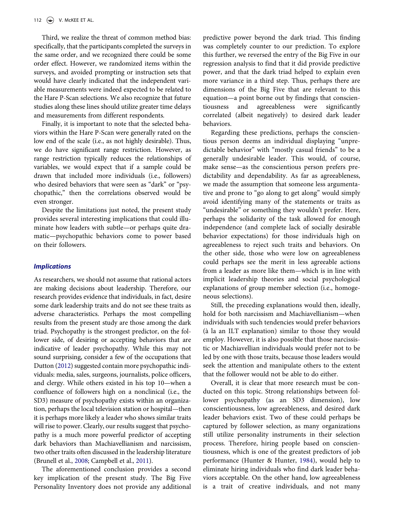Third, we realize the threat of common method bias: specifically, that the participants completed the surveys in the same order, and we recognized there could be some order effect. However, we randomized items within the surveys, and avoided prompting or instruction sets that would have clearly indicated that the independent variable measurements were indeed expected to be related to the Hare P-Scan selections. We also recognize that future studies along these lines should utilize greater time delays and measurements from different respondents.

Finally, it is important to note that the selected behaviors within the Hare P-Scan were generally rated on the low end of the scale (i.e., as not highly desirable). Thus, we do have significant range restriction. However, as range restriction typically reduces the relationships of variables, we would expect that if a sample could be drawn that included more individuals (i.e., followers) who desired behaviors that were seen as "dark" or "psychopathic," then the correlations observed would be even stronger.

Despite the limitations just noted, the present study provides several interesting implications that could illuminate how leaders with subtle—or perhaps quite dramatic—psychopathic behaviors come to power based on their followers.

# **Implications**

As researchers, we should not assume that rational actors are making decisions about leadership. Therefore, our research provides evidence that individuals, in fact, desire some dark leadership traits and do not see these traits as adverse characteristics. Perhaps the most compelling results from the present study are those among the dark triad. Psychopathy is the strongest predictor, on the follower side, of desiring or accepting behaviors that are indicative of leader psychopathy. While this may not sound surprising, consider a few of the occupations that Dutton ([2012\)](#page-11-34) suggested contain more psychopathic individuals: media, sales, surgeons, journalists, police officers, and clergy. While others existed in his top 10—when a confluence of followers high on a nonclinical (i.e., the SD3) measure of psychopathy exists within an organization, perhaps the local television station or hospital—then it is perhaps more likely a leader who shows similar traits will rise to power. Clearly, our results suggest that psychopathy is a much more powerful predictor of accepting dark behaviors than Machiavellianism and narcissism, two other traits often discussed in the leadership literature (Brunell et al., [2008](#page-11-35); Campbell et al., [2011\)](#page-11-4).

The aforementioned conclusion provides a second key implication of the present study. The Big Five Personality Inventory does not provide any additional predictive power beyond the dark triad. This finding was completely counter to our prediction. To explore this further, we reversed the entry of the Big Five in our regression analysis to find that it did provide predictive power, and that the dark triad helped to explain even more variance in a third step. Thus, perhaps there are dimensions of the Big Five that are relevant to this equation—a point borne out by findings that conscientiousness and agreeableness were significantly correlated (albeit negatively) to desired dark leader behaviors.

Regarding these predictions, perhaps the conscientious person deems an individual displaying "unpredictable behavior" with "mostly casual friends" to be a generally undesirable leader. This would, of course, make sense—as the conscientious person prefers predictability and dependability. As far as agreeableness, we made the assumption that someone less argumentative and prone to "go along to get along" would simply avoid identifying many of the statements or traits as "undesirable" or something they wouldn't prefer. Here, perhaps the solidarity of the task allowed for enough independence (and complete lack of socially desirable behavior expectations) for those individuals high on agreeableness to reject such traits and behaviors. On the other side, those who were low on agreeableness could perhaps see the merit in less agreeable actions from a leader as more like them—which is in line with implicit leadership theories and social psychological explanations of group member selection (i.e., homogeneous selections).

Still, the preceding explanations would then, ideally, hold for both narcissism and Machiavellianism—when individuals with such tendencies would prefer behaviors (à la an ILT explanation) similar to those they would employ. However, it is also possible that those narcissistic or Machiavellian individuals would prefer not to be led by one with those traits, because those leaders would seek the attention and manipulate others to the extent that the follower would not be able to do either.

Overall, it is clear that more research must be conducted on this topic. Strong relationships between follower psychopathy (as an SD3 dimension), low conscientiousness, low agreeableness, and desired dark leader behaviors exist. Two of these could perhaps be captured by follower selection, as many organizations still utilize personality instruments in their selection process. Therefore, hiring people based on conscientiousness, which is one of the greatest predictors of job performance (Hunter & Hunter, [1984\)](#page-11-36), would help to eliminate hiring individuals who find dark leader behaviors acceptable. On the other hand, low agreeableness is a trait of creative individuals, and not many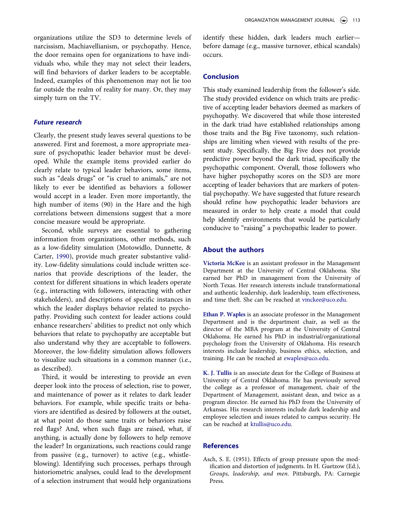organizations utilize the SD3 to determine levels of narcissism, Machiavellianism, or psychopathy. Hence, the door remains open for organizations to have individuals who, while they may not select their leaders, will find behaviors of darker leaders to be acceptable. Indeed, examples of this phenomenon may not lie too far outside the realm of reality for many. Or, they may simply turn on the TV.

#### Future research

Clearly, the present study leaves several questions to be answered. First and foremost, a more appropriate measure of psychopathic leader behavior must be developed. While the example items provided earlier do clearly relate to typical leader behaviors, some items, such as "deals drugs" or "is cruel to animals," are not likely to ever be identified as behaviors a follower would accept in a leader. Even more importantly, the high number of items (90) in the Hare and the high correlations between dimensions suggest that a more concise measure would be appropriate.

Second, while surveys are essential to gathering information from organizations, other methods, such as a low-fidelity simulation (Motowidlo, Dunnette, & Carter, [1990\)](#page-11-37), provide much greater substantive validity. Low-fidelity simulations could include written scenarios that provide descriptions of the leader, the context for different situations in which leaders operate (e.g., interacting with followers, interacting with other stakeholders), and descriptions of specific instances in which the leader displays behavior related to psychopathy. Providing such context for leader actions could enhance researchers' abilities to predict not only which behaviors that relate to psychopathy are acceptable but also understand why they are acceptable to followers. Moreover, the low-fidelity simulation allows followers to visualize such situations in a common manner (i.e., as described).

Third, it would be interesting to provide an even deeper look into the process of selection, rise to power, and maintenance of power as it relates to dark leader behaviors. For example, while specific traits or behaviors are identified as desired by followers at the outset, at what point do those same traits or behaviors raise red flags? And, when such flags are raised, what, if anything, is actually done by followers to help remove the leader? In organizations, such reactions could range from passive (e.g., turnover) to active (e.g., whistleblowing). Identifying such processes, perhaps through historiometric analyses, could lead to the development of a selection instrument that would help organizations identify these hidden, dark leaders much earlier before damage (e.g., massive turnover, ethical scandals) occurs.

#### Conclusion

This study examined leadership from the follower's side. The study provided evidence on which traits are predictive of accepting leader behaviors deemed as markers of psychopathy. We discovered that while those interested in the dark triad have established relationships among those traits and the Big Five taxonomy, such relationships are limiting when viewed with results of the present study. Specifically, the Big Five does not provide predictive power beyond the dark triad, specifically the psychopathic component. Overall, those followers who have higher psychopathy scores on the SD3 are more accepting of leader behaviors that are markers of potential psychopathy. We have suggested that future research should refine how psychopathic leader behaviors are measured in order to help create a model that could help identify environments that would be particularly conducive to "raising" a psychopathic leader to power.

#### About the authors

Victoria McKee is an assistant professor in the Management Department at the University of Central Oklahoma. She earned her PhD in management from the University of North Texas. Her research interests include transformational and authentic leadership, dark leadership, team effectiveness, and time theft. She can be reached at vmckee@uco.edu.

Ethan P. Waples is an associate professor in the Management Department and is the department chair, as well as the director of the MBA program at the University of Central Oklahoma. He earned his PhD in industrial/organizational psychology from the University of Oklahoma. His research interests include leadership, business ethics, selection, and training. He can be reached at ewaples@uco.edu.

K. J. Tullis is an associate dean for the College of Business at University of Central Oklahoma. He has previously served the college as a professor of management, chair of the Department of Management, assistant dean, and twice as a program director. He earned his PhD from the University of Arkansas. His research interests include dark leadership and employee selection and issues related to campus security. He can be reached at ktullis@uco.edu.

# **References**

<span id="page-10-0"></span>Asch, S. E. (1951). Effects of group pressure upon the modification and distortion of judgments. In H. Guetzow (Ed.), Groups, leadership, and men. Pittsburgh, PA: Carnegie Press.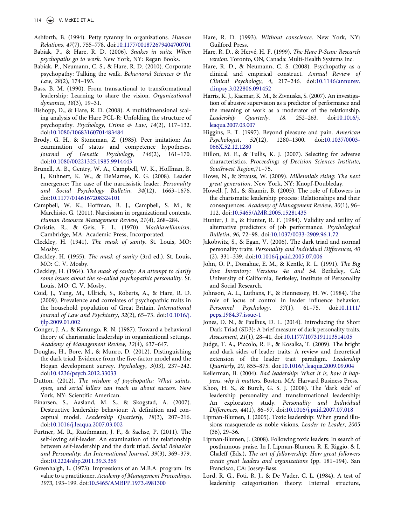- <span id="page-11-10"></span>Ashforth, B. (1994). Petty tyranny in organizations. Human Relations, 47(7), 755–778. doi:[10.1177/001872679404700701](http://dx.doi.org/10.1177/001872679404700701)
- <span id="page-11-7"></span>Babiak, P., & Hare, R. D. (2006). Snakes in suits: When psychopaths go to work. New York, NY: Regan Books.
- <span id="page-11-1"></span>Babiak, P., Neumann, C. S., & Hare, R. D. (2010). Corporate psychopathy: Talking the walk. Behavioral Sciences & the Law, 28(2), 174–193.
- <span id="page-11-37"></span>Bass, B. M. (1990). From transactional to transformational leadership: Learning to share the vision. Organizational dynamics, 18(3), 19–31.
- <span id="page-11-29"></span>Bishopp, D., & Hare, R. D. (2008). A multidimensional scaling analysis of the Hare PCL-R: Unfolding the structure of psychopathy. Psychology, Crime & Law, 14(2), 117–132. doi:[10.1080/10683160701483484](http://dx.doi.org/10.1080/10683160701483484)
- <span id="page-11-15"></span>Brody, G. H., & Stoneman, Z. (1985). Peer imitation: An examination of status and competence hypotheses. Journal of Genetic Psychology, 146(2), 161–170. doi:[10.1080/00221325.1985.9914443](http://dx.doi.org/10.1080/00221325.1985.9914443)
- <span id="page-11-35"></span>Brunell, A. B., Gentry, W. A., Campbell, W. K., Hoffman, B. J., Kuhnert, K. W., & DeMarree, K. G. (2008). Leader emergence: The case of the narcissistic leader. Personality and Social Psychology Bulletin, 34(12), 1663–1676. doi:[10.1177/0146167208324101](http://dx.doi.org/10.1177/0146167208324101)
- <span id="page-11-4"></span>Campbell, W. K., Hoffman, B. J., Campbell, S. M., & Marchisio, G. (2011). Narcissism in organizational contexts. Human Resource Management Review, 21(4), 268–284.
- <span id="page-11-28"></span>Christie, R., & Geis, F. L. (1970). Machiavellianism. Cambridge, MA: Academic Press, Incorporated.
- <span id="page-11-17"></span>Cleckley, H. (1941). The mask of sanity. St. Louis, MO: Mosby.
- <span id="page-11-30"></span>Cleckley, H. (1955). The mask of sanity (3rd ed.). St. Louis, MO: C. V. Mosby.
- <span id="page-11-6"></span>Cleckley, H. (1964). The mask of sanity: An attempt to clarify some issues about the so-called psychopathic personality. St. Louis, MO: C. V. Mosby.
- <span id="page-11-2"></span>Coid, J., Yang, M., Ullrich, S., Roberts, A., & Hare, R. D. (2009). Prevalence and correlates of psychopathic traits in the household population of Great Britain. International Journal of Law and Psychiatry, 32(2), 65–73. doi:[10.1016/j.](http://dx.doi.org/10.1016/j.ijlp.2009.01.002) [ijlp.2009.01.002](http://dx.doi.org/10.1016/j.ijlp.2009.01.002)
- <span id="page-11-20"></span>Conger, J. A., & Kanungo, R. N. (1987). Toward a behavioral theory of charismatic leadership in organizational settings. Academy of Management Review, 12(4), 637–647.
- <span id="page-11-27"></span>Douglas, H., Bore, M., & Munro, D. (2012). Distinguishing the dark triad: Evidence from the five-factor model and the Hogan development survey. Psychology, 3(03), 237–242. doi:[10.4236/psych.2012.33033](http://dx.doi.org/10.4236/psych.2012.33033)
- <span id="page-11-34"></span>Dutton. (2012). The wisdom of psychopaths: What saints, spies, and serial killers can teach us about success. New York, NY: Scientific American.
- <span id="page-11-11"></span>Einarsen, S., Aasland, M. S., & Skogstad, A. (2007). Destructive leadership behaviour: A definition and conceptual model. Leadership Quarterly, 18(3), 207–216. doi:[10.1016/j.leaqua.2007.03.002](http://dx.doi.org/10.1016/j.leaqua.2007.03.002)
- <span id="page-11-25"></span>Furtner, M. R., Rauthmann, J. F., & Sachse, P. (2011). The self-loving self-leader: An examination of the relationship between self-leadership and the dark triad. Social Behavior and Personality: An International Journal, 39(3), 369–379. doi:[10.2224/sbp.2011.39.3.369](http://dx.doi.org/10.2224/sbp.2011.39.3.369)
- <span id="page-11-8"></span>Greenhalgh, L. (1973). Impressions of an M.B.A. program: Its value to a practitioner. Academy of Management Proceedings, 1973, 193–199. doi:[10.5465/AMBPP.1973.4981300](http://dx.doi.org/10.5465/AMBPP.1973.4981300)
- <span id="page-11-21"></span>Hare, R. D. (1993). Without conscience. New York, NY: Guilford Press.
- <span id="page-11-18"></span>Hare, R. D., & Hervé, H. F. (1999). The Hare P-Scan: Research version. Toronto, ON, Canada: Multi-Health Systems Inc.
- <span id="page-11-3"></span>Hare, R. D., & Neumann, C. S. (2008). Psychopathy as a clinical and empirical construct. Annual Review of Clinical Psychology, 4, 217–246. doi:[10.1146/annurev.](http://dx.doi.org/10.1146/annurev.clinpsy.3.022806.091452) [clinpsy.3.022806.091452](http://dx.doi.org/10.1146/annurev.clinpsy.3.022806.091452)
- <span id="page-11-0"></span>Harris, K. J., Kacmar, K. M., & Zivnuska, S. (2007). An investigation of abusive supervision as a predictor of performance and the meaning of work as a moderator of the relationship. Leadership Quarterly, 18, 252–263. doi[:10.1016/j.](http://dx.doi.org/10.1016/j.leaqua.2007.03.007) [leaqua.2007.03.007](http://dx.doi.org/10.1016/j.leaqua.2007.03.007)
- <span id="page-11-16"></span>Higgins, E. T. (1997). Beyond pleasure and pain. American Psychologist, 52(12), 1280–1300. doi:[10.1037/0003-](http://dx.doi.org/10.1037/0003-066X.52.12.1280) [066X.52.12.1280](http://dx.doi.org/10.1037/0003-066X.52.12.1280)
- <span id="page-11-9"></span>Hillon, M. E., & Tullis, K. J. (2007). Selecting for adverse characteristics. Proceedings of Decision Sciences Institute, Southwest Region,71–75.
- <span id="page-11-32"></span>Howe, N., & Strauss, W. (2009). Millennials rising: The next great generation. New York, NY: Knopf-Doubleday.
- <span id="page-11-19"></span>Howell, J. M., & Shamir, B. (2005). The role of followers in the charismatic leadership process: Relationships and their consequences. Academy of Management Review, 30(1), 96– 112. doi:[10.5465/AMR.2005.15281435](http://dx.doi.org/10.5465/AMR.2005.15281435)
- <span id="page-11-36"></span>Hunter, J. E., & Hunter, R. F. (1984). Validity and utility of alternative predictors of job performance. Psychological Bulletin, 96, 72–98. doi[:10.1037/0033-2909.96.1.72](http://dx.doi.org/10.1037/0033-2909.96.1.72)
- <span id="page-11-22"></span>Jakobwitz, S., & Egan, V. (2006). The dark triad and normal personality traits. Personality and Individual Differences, 40 (2), 331–339. doi:[10.1016/j.paid.2005.07.006](http://dx.doi.org/10.1016/j.paid.2005.07.006)
- <span id="page-11-5"></span>John, O. P., Donahue, E. M., & Kentle, R. L. (1991). The Big Five Inventory: Versions 4a and 54. Berkeley, CA: University of California, Berkeley, Institute of Personality and Social Research.
- <span id="page-11-24"></span>Johnson, A. L., Luthans, F., & Hennessey, H. W. (1984). The role of locus of control in leader influence behavior. Personnel Psychology, 37(1), 61–75. doi[:10.1111/](http://dx.doi.org/10.1111/peps.1984.37.issue-1) [peps.1984.37.issue-1](http://dx.doi.org/10.1111/peps.1984.37.issue-1)
- <span id="page-11-31"></span>Jones, D. N., & Paulhus, D. L. (2014). Introducing the Short Dark Triad (SD3): A brief measure of dark personality traits. Assessment, 21(1), 28–41. doi:[10.1177/1073191113514105](http://dx.doi.org/10.1177/1073191113514105)
- <span id="page-11-26"></span>Judge, T. A., Piccolo, R. F., & Kosalka, T. (2009). The bright and dark sides of leader traits: A review and theoretical extension of the leader trait paradigm. Leadership Quarterly, 20, 855–875. doi:[10.1016/j.leaqua.2009.09.004](http://dx.doi.org/10.1016/j.leaqua.2009.09.004)
- <span id="page-11-13"></span>Kellerman, B. (2004). Bad leadership: What it is, how it happens, why it matters. Boston, MA: Harvard Business Press.
- <span id="page-11-23"></span>Khoo, H. S., & Burch, G. S. J. (2008). The 'dark side' of leadership personality and transformational leadership: An exploratory study. Personality and Individual Differences, 44(1), 86–97. doi[:10.1016/j.paid.2007.07.018](http://dx.doi.org/10.1016/j.paid.2007.07.018)
- <span id="page-11-14"></span>Lipman-Blumen, J. (2005). Toxic leadership: When grand illusions masquerade as noble visions. Leader to Leader, 2005 (36), 29–36.
- <span id="page-11-12"></span>Lipman-Blumen, J. (2008). Following toxic leaders: In search of posthumous praise. In J. Lipman-Blumen, R. E. Riggio, & I. Chaleff (Eds.), The art of followership: How great followers create great leaders and organizations (pp. 181–194). San Francisco, CA: Jossey-Bass.
- <span id="page-11-33"></span>Lord, R. G., Foti, R. J., & De Vader, C. L. (1984). A test of leadership categorization theory: Internal structure,